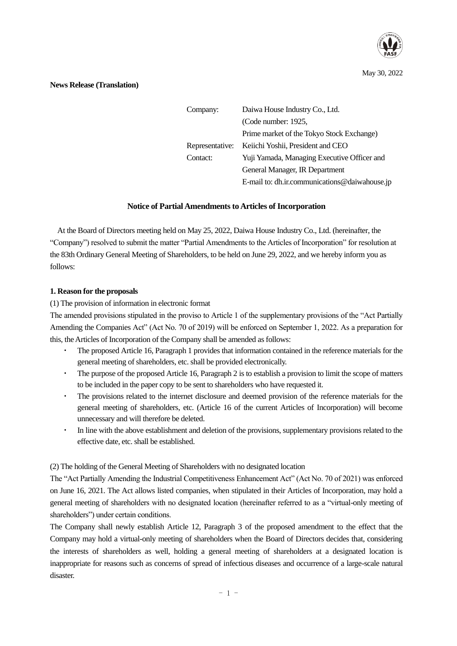

May 30, 2022

# **News Release (Translation)**

| Company:        | Daiwa House Industry Co., Ltd.                |  |  |
|-----------------|-----------------------------------------------|--|--|
|                 | (Code number: 1925,                           |  |  |
|                 | Prime market of the Tokyo Stock Exchange)     |  |  |
| Representative: | Keiichi Yoshii, President and CEO             |  |  |
| Contact:        | Yuji Yamada, Managing Executive Officer and   |  |  |
|                 | General Manager, IR Department                |  |  |
|                 | E-mail to: dh.ir.communications@daiwahouse.jp |  |  |

# **Notice of Partial Amendments to Articles of Incorporation**

At the Board of Directors meeting held on May 25, 2022, Daiwa House Industry Co., Ltd. (hereinafter, the "Company") resolved to submit the matter "Partial Amendments to the Articles of Incorporation" for resolution at the 83th Ordinary General Meeting of Shareholders, to be held on June 29, 2022, and we hereby inform you as follows:

# **1. Reason for the proposals**

(1) The provision of information in electronic format

The amended provisions stipulated in the proviso to Article 1 of the supplementary provisions of the "Act Partially Amending the Companies Act" (Act No. 70 of 2019) will be enforced on September 1, 2022. As a preparation for this, the Articles of Incorporation of the Company shall be amended as follows:

- ・ The proposed Article 16, Paragraph 1 provides that information contained in the reference materials for the general meeting of shareholders, etc. shall be provided electronically.
- The purpose of the proposed Article 16, Paragraph 2 is to establish a provision to limit the scope of matters to be included in the paper copy to be sent to shareholders who have requested it.
- The provisions related to the internet disclosure and deemed provision of the reference materials for the general meeting of shareholders, etc. (Article 16 of the current Articles of Incorporation) will become unnecessary and will therefore be deleted.
- In line with the above establishment and deletion of the provisions, supplementary provisions related to the effective date, etc. shall be established.

(2) The holding of the General Meeting of Shareholders with no designated location

The "Act Partially Amending the Industrial Competitiveness Enhancement Act" (Act No. 70 of 2021) was enforced on June 16, 2021. The Act allows listed companies, when stipulated in their Articles of Incorporation, may hold a general meeting of shareholders with no designated location (hereinafter referred to as a "virtual-only meeting of shareholders") under certain conditions.

The Company shall newly establish Article 12, Paragraph 3 of the proposed amendment to the effect that the Company may hold a virtual-only meeting of shareholders when the Board of Directors decides that, considering the interests of shareholders as well, holding a general meeting of shareholders at a designated location is inappropriate for reasons such as concerns of spread of infectious diseases and occurrence of a large-scale natural disaster.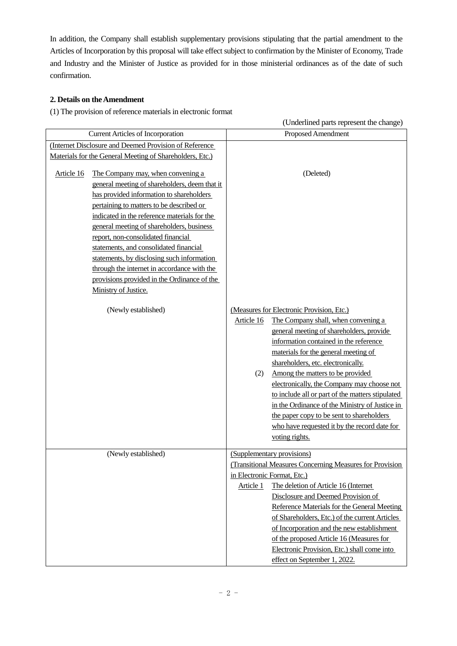In addition, the Company shall establish supplementary provisions stipulating that the partial amendment to the Articles of Incorporation by this proposal will take effect subject to confirmation by the Minister of Economy, Trade and Industry and the Minister of Justice as provided for in those ministerial ordinances as of the date of such confirmation.

# **2. Details on the Amendment**

(1) The provision of reference materials in electronic format

| (Underlined parts represent the change)                                                                                                                                                                                                                                                                                                                                                                                                                                                                           |                                                                                                                                                                                                                                                                                                            |  |  |
|-------------------------------------------------------------------------------------------------------------------------------------------------------------------------------------------------------------------------------------------------------------------------------------------------------------------------------------------------------------------------------------------------------------------------------------------------------------------------------------------------------------------|------------------------------------------------------------------------------------------------------------------------------------------------------------------------------------------------------------------------------------------------------------------------------------------------------------|--|--|
| <b>Current Articles of Incorporation</b>                                                                                                                                                                                                                                                                                                                                                                                                                                                                          | Proposed Amendment                                                                                                                                                                                                                                                                                         |  |  |
| (Internet Disclosure and Deemed Provision of Reference                                                                                                                                                                                                                                                                                                                                                                                                                                                            |                                                                                                                                                                                                                                                                                                            |  |  |
| Materials for the General Meeting of Shareholders, Etc.)                                                                                                                                                                                                                                                                                                                                                                                                                                                          |                                                                                                                                                                                                                                                                                                            |  |  |
| The Company may, when convening a<br>Article 16<br>general meeting of shareholders, deem that it<br>has provided information to shareholders<br>pertaining to matters to be described or<br>indicated in the reference materials for the<br>general meeting of shareholders, business<br>report, non-consolidated financial<br>statements, and consolidated financial<br>statements, by disclosing such information<br>through the internet in accordance with the<br>provisions provided in the Ordinance of the | (Deleted)                                                                                                                                                                                                                                                                                                  |  |  |
| Ministry of Justice.                                                                                                                                                                                                                                                                                                                                                                                                                                                                                              |                                                                                                                                                                                                                                                                                                            |  |  |
| (Newly established)                                                                                                                                                                                                                                                                                                                                                                                                                                                                                               | (Measures for Electronic Provision, Etc.)<br>The Company shall, when convening a<br>Article 16                                                                                                                                                                                                             |  |  |
|                                                                                                                                                                                                                                                                                                                                                                                                                                                                                                                   | general meeting of shareholders, provide<br>information contained in the reference<br>materials for the general meeting of<br>shareholders, etc. electronically.                                                                                                                                           |  |  |
|                                                                                                                                                                                                                                                                                                                                                                                                                                                                                                                   | Among the matters to be provided<br>(2)<br>electronically, the Company may choose not<br>to include all or part of the matters stipulated<br>in the Ordinance of the Ministry of Justice in<br>the paper copy to be sent to shareholders<br>who have requested it by the record date for<br>voting rights. |  |  |
| (Newly established)                                                                                                                                                                                                                                                                                                                                                                                                                                                                                               | (Supplementary provisions)                                                                                                                                                                                                                                                                                 |  |  |
|                                                                                                                                                                                                                                                                                                                                                                                                                                                                                                                   | (Transitional Measures Concerning Measures for Provision                                                                                                                                                                                                                                                   |  |  |
|                                                                                                                                                                                                                                                                                                                                                                                                                                                                                                                   | in Electronic Format, Etc.)                                                                                                                                                                                                                                                                                |  |  |
|                                                                                                                                                                                                                                                                                                                                                                                                                                                                                                                   | The deletion of Article 16 (Internet<br>Article 1                                                                                                                                                                                                                                                          |  |  |
|                                                                                                                                                                                                                                                                                                                                                                                                                                                                                                                   | Disclosure and Deemed Provision of                                                                                                                                                                                                                                                                         |  |  |
|                                                                                                                                                                                                                                                                                                                                                                                                                                                                                                                   | Reference Materials for the General Meeting                                                                                                                                                                                                                                                                |  |  |
|                                                                                                                                                                                                                                                                                                                                                                                                                                                                                                                   | of Shareholders, Etc.) of the current Articles                                                                                                                                                                                                                                                             |  |  |
|                                                                                                                                                                                                                                                                                                                                                                                                                                                                                                                   | of Incorporation and the new establishment<br>of the proposed Article 16 (Measures for                                                                                                                                                                                                                     |  |  |
|                                                                                                                                                                                                                                                                                                                                                                                                                                                                                                                   | Electronic Provision, Etc.) shall come into<br>effect on September 1, 2022.                                                                                                                                                                                                                                |  |  |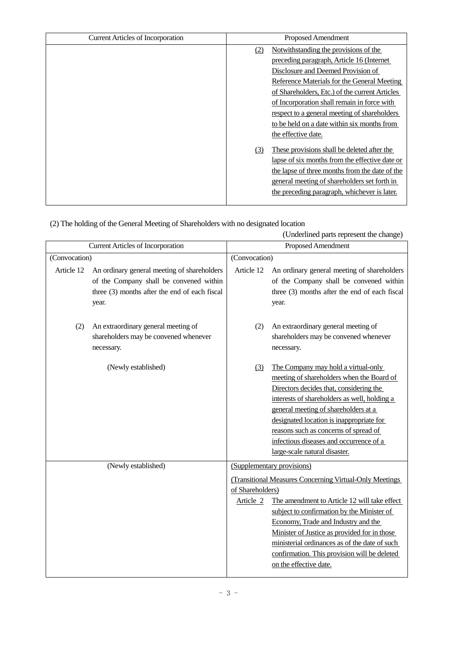| <b>Current Articles of Incorporation</b> | Proposed Amendment |                                                |
|------------------------------------------|--------------------|------------------------------------------------|
|                                          | (2)                | Notwithstanding the provisions of the          |
|                                          |                    | preceding paragraph, Article 16 (Internet      |
|                                          |                    | Disclosure and Deemed Provision of             |
|                                          |                    | Reference Materials for the General Meeting    |
|                                          |                    | of Shareholders, Etc.) of the current Articles |
|                                          |                    | of Incorporation shall remain in force with    |
|                                          |                    | respect to a general meeting of shareholders   |
|                                          |                    | to be held on a date within six months from    |
|                                          |                    | the effective date.                            |
|                                          | (3)                | These provisions shall be deleted after the    |
|                                          |                    | lapse of six months from the effective date or |
|                                          |                    | the lapse of three months from the date of the |
|                                          |                    | general meeting of shareholders set forth in   |
|                                          |                    | the preceding paragraph, whichever is later.   |
|                                          |                    |                                                |

|  |  | (2) The holding of the General Meeting of Shareholders with no designated location |  |
|--|--|------------------------------------------------------------------------------------|--|
|  |  |                                                                                    |  |

|                                          |                                                                                                                                                  | (Underlined parts represent the change) |                                                                                                                                                                                                                                                                                                                                                                                                       |  |
|------------------------------------------|--------------------------------------------------------------------------------------------------------------------------------------------------|-----------------------------------------|-------------------------------------------------------------------------------------------------------------------------------------------------------------------------------------------------------------------------------------------------------------------------------------------------------------------------------------------------------------------------------------------------------|--|
| <b>Current Articles of Incorporation</b> |                                                                                                                                                  |                                         | Proposed Amendment                                                                                                                                                                                                                                                                                                                                                                                    |  |
| (Convocation)                            |                                                                                                                                                  | (Convocation)                           |                                                                                                                                                                                                                                                                                                                                                                                                       |  |
| Article 12                               | An ordinary general meeting of shareholders<br>of the Company shall be convened within<br>three (3) months after the end of each fiscal<br>year. | Article 12                              | An ordinary general meeting of shareholders<br>of the Company shall be convened within<br>three (3) months after the end of each fiscal<br>year.                                                                                                                                                                                                                                                      |  |
| (2)                                      | An extraordinary general meeting of<br>shareholders may be convened whenever<br>necessary.                                                       | (2)                                     | An extraordinary general meeting of<br>shareholders may be convened whenever<br>necessary.                                                                                                                                                                                                                                                                                                            |  |
|                                          | (Newly established)                                                                                                                              | (3)                                     | The Company may hold a virtual-only<br>meeting of shareholders when the Board of<br>Directors decides that, considering the<br>interests of shareholders as well, holding a<br>general meeting of shareholders at a<br>designated location is inappropriate for<br>reasons such as concerns of spread of<br>infectious diseases and occurrence of a<br>large-scale natural disaster.                  |  |
| (Newly established)                      |                                                                                                                                                  | of Shareholders)<br>Article 2           | (Supplementary provisions)<br>(Transitional Measures Concerning Virtual-Only Meetings<br>The amendment to Article 12 will take effect<br>subject to confirmation by the Minister of<br>Economy, Trade and Industry and the<br>Minister of Justice as provided for in those<br>ministerial ordinances as of the date of such<br>confirmation. This provision will be deleted<br>on the effective date. |  |